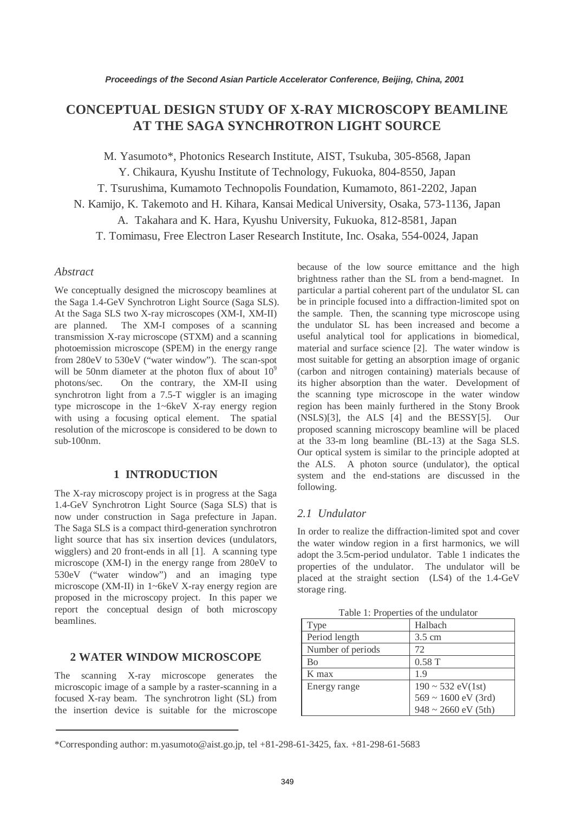# **CONCEPTUAL DESIGN STUDY OF X-RAY MICROSCOPY BEAMLINE AT THE SAGA SYNCHROTRON LIGHT SOURCE**

M. Yasumoto\*, Photonics Research Institute, AIST, Tsukuba, 305-8568, Japan

Y. Chikaura, Kyushu Institute of Technology, Fukuoka, 804-8550, Japan

T. Tsurushima, Kumamoto Technopolis Foundation, Kumamoto, 861-2202, Japan

N. Kamijo, K. Takemoto and H. Kihara, Kansai Medical University, Osaka, 573-1136, Japan

A. Takahara and K. Hara, Kyushu University, Fukuoka, 812-8581, Japan

T. Tomimasu, Free Electron Laser Research Institute, Inc. Osaka, 554-0024, Japan

# *Abstract*

We conceptually designed the microscopy beamlines at the Saga 1.4-GeV Synchrotron Light Source (Saga SLS). At the Saga SLS two X-ray microscopes (XM-I, XM-II) are planned. The XM-I composes of a scanning transmission X-ray microscope (STXM) and a scanning photoemission microscope (SPEM) in the energy range from 280eV to 530eV ("water window"). The scan-spot will be 50nm diameter at the photon flux of about  $10^9$ photons/sec. On the contrary, the XM-II using synchrotron light from a 7.5-T wiggler is an imaging type microscope in the 1~6keV X-ray energy region with using a focusing optical element. The spatial resolution of the microscope is considered to be down to sub-100nm.

# **1 INTRODUCTION**

The X-ray microscopy project is in progress at the Saga 1.4-GeV Synchrotron Light Source (Saga SLS) that is now under construction in Saga prefecture in Japan. The Saga SLS is a compact third-generation synchrotron light source that has six insertion devices (undulators, wigglers) and 20 front-ends in all [1]. A scanning type microscope (XM-I) in the energy range from 280eV to 530eV ("water window") and an imaging type microscope (XM-II) in 1~6keV X-ray energy region are proposed in the microscopy project. In this paper we report the conceptual design of both microscopy beamlines.

## **2 WATER WINDOW MICROSCOPE**

The scanning X-ray microscope generates the microscopic image of a sample by a raster-scanning in a focused X-ray beam. The synchrotron light (SL) from the insertion device is suitable for the microscope

because of the low source emittance and the high brightness rather than the SL from a bend-magnet. In particular a partial coherent part of the undulator SL can be in principle focused into a diffraction-limited spot on the sample. Then, the scanning type microscope using the undulator SL has been increased and become a useful analytical tool for applications in biomedical, material and surface science [2]. The water window is most suitable for getting an absorption image of organic (carbon and nitrogen containing) materials because of its higher absorption than the water. Development of the scanning type microscope in the water window region has been mainly furthered in the Stony Brook (NSLS)[3], the ALS [4] and the BESSY[5]. Our proposed scanning microscopy beamline will be placed at the 33-m long beamline (BL-13) at the Saga SLS. Our optical system is similar to the principle adopted at the ALS. A photon source (undulator), the optical system and the end-stations are discussed in the following.

# *2.1 Undulator*

In order to realize the diffraction-limited spot and cover the water window region in a first harmonics, we will adopt the 3.5cm-period undulator. Table 1 indicates the properties of the undulator. The undulator will be placed at the straight section (LS4) of the 1.4-GeV storage ring.

| Type              | Halbach                                 |
|-------------------|-----------------------------------------|
| Period length     | $3.5 \text{ cm}$                        |
| Number of periods | 72                                      |
| <b>Bo</b>         | 0.58T                                   |
| K max             | 1.9                                     |
| Energy range      | $190 \sim 532 \text{ eV} (1 \text{st})$ |
|                   | $569 \sim 1600$ eV (3rd)                |
|                   | $948 \sim 2660$ eV (5th)                |

Table 1: Properties of the undulator

<sup>\*</sup>Corresponding author: m.yasumoto@aist.go.jp, tel +81-298-61-3425, fax. +81-298-61-5683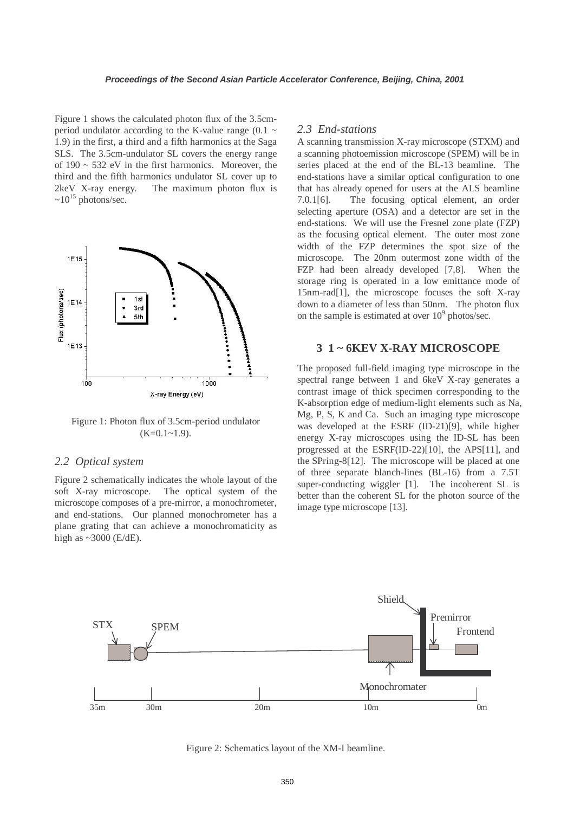Figure 1 shows the calculated photon flux of the 3.5cmperiod undulator according to the K-value range (0.1  $\sim$ 1.9) in the first, a third and a fifth harmonics at the Saga SLS. The 3.5cm-undulator SL covers the energy range of  $190 \sim 532$  eV in the first harmonics. Moreover, the third and the fifth harmonics undulator SL cover up to 2keV X-ray energy. The maximum photon flux is  $\sim 10^{15}$  photons/sec.



Figure 1: Photon flux of 3.5cm-period undulator  $(K=0.1~1.9)$ .

### *2.2 Optical system*

Figure 2 schematically indicates the whole layout of the soft X-ray microscope. The optical system of the microscope composes of a pre-mirror, a monochrometer, and end-stations. Our planned monochrometer has a plane grating that can achieve a monochromaticity as high as  $\sim$  3000 (E/dE).

#### *2.3 End-stations*

A scanning transmission X-ray microscope (STXM) and a scanning photoemission microscope (SPEM) will be in series placed at the end of the BL-13 beamline. The end-stations have a similar optical configuration to one that has already opened for users at the ALS beamline 7.0.1[6]. The focusing optical element, an order selecting aperture (OSA) and a detector are set in the end-stations. We will use the Fresnel zone plate (FZP) as the focusing optical element. The outer most zone width of the FZP determines the spot size of the microscope. The 20nm outermost zone width of the FZP had been already developed [7,8]. When the storage ring is operated in a low emittance mode of 15nm-rad[1], the microscope focuses the soft X-ray down to a diameter of less than 50nm. The photon flux on the sample is estimated at over  $10^9$  photos/sec.

### **3 1 ~ 6KEV X-RAY MICROSCOPE**

The proposed full-field imaging type microscope in the spectral range between 1 and 6keV X-ray generates a contrast image of thick specimen corresponding to the K-absorption edge of medium-light elements such as Na, Mg, P, S, K and Ca. Such an imaging type microscope was developed at the ESRF (ID-21)[9], while higher energy X-ray microscopes using the ID-SL has been progressed at the ESRF(ID-22)[10], the APS[11], and the SPring-8[12]. The microscope will be placed at one of three separate blanch-lines (BL-16) from a 7.5T super-conducting wiggler [1]. The incoherent SL is better than the coherent SL for the photon source of the image type microscope [13].



Figure 2: Schematics layout of the XM-I beamline.